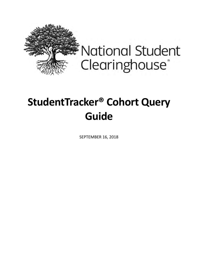

**National Student** Clearinghouse®

# **StudentTracker® Cohort Query Guide**

SEPTEMBER 16, 2018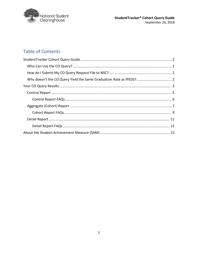

# **Table of Contents**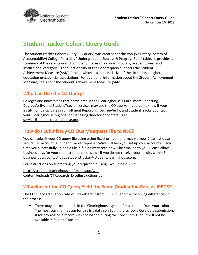

# <span id="page-2-0"></span>**StudentTracker Cohort Query Guide**

The StudentTracker Cohort Query (CO query) was created for the VSA (Voluntary System of Accountability) College Portrait's "Undergraduate Success & Progress Rate" table. It provides a summary of the retention and completion rates of a cohort group by academic year and institutional category. The functionality of the Cohort query supports the Student Achievement Measure (SAM) Project which is a joint initiative of the six national higher education presidential associations. For additional information about the Student Achievement Measure, see About the Student [Achievement](#page-13-0) Measure (SAM).

# <span id="page-2-1"></span>**Who Can Use the CO Query?**

Colleges and universities that participate in the Clearinghouse's Enrollment Reporting, DegreeVerify, and StudentTracker services may use the CO query. If you don't know if your institution participates in Enrollment Reporting, DegreeVerify, and StudentTracker, contact your Clearinghouse regional or managing director or contact us at [service@studentclearinghouse.org.](mailto:service@studentclearinghouse.org)

# <span id="page-2-2"></span>**How do I Submit My CO Query Request File to NSC?**

You can submit your CO query file using either Excel or flat file format via your Clearinghouse secure FTP account (a StudentTracker representative will help you set up your account). Each time you successfully upload a file, a file delivery receipt will be emailed to you. Please allow 3 business days for your request to be processed. If you do not receive your results within 3 business days, contact us at [studenttracker@studentclearinghouse.org.](mailto:studenttracker@studentclearinghouse.org)

For instructions on submitting your request file using Excel, please visit:

[https://studentclearinghouse.info/onestop/wp](https://studentclearinghouse.info/onestop/wp-content/uploads/STResearch_ExcelInstructions.pdf)[content/uploads/STResearch\\_ExcelInstructions.pdf](https://studentclearinghouse.info/onestop/wp-content/uploads/STResearch_ExcelInstructions.pdf)

# <span id="page-2-3"></span>**Why doesn't the CO Query Yield the Same Graduation Rate as IPEDS?**

The CO query graduation rate will be different from IPEDS due to the following differences in the process:

• There may not be a match in the Clearinghouse system for a student from your cohort. The most common reason for this is a data conflict in the school's Core data submission. If for any reason a record was not loaded during the Core submission, it will not be available in StudentTracker.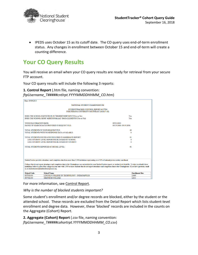

• IPEDS uses October 15 as its cutoff date. The CO query uses end-of-term enrollment status. Any changes in enrollment between October 15 and end-of-term will create a counting difference.

# <span id="page-3-0"></span>**Your CO Query Results**

You will receive an email when your CO query results are ready for retrieval from your secure FTP account.

Your CO query results will include the following 3 reports:

#### **1. Control Report** (.htm file, naming convention: *ftpUsername\_T#####cntlrpt.YYYYMMDDHHMM\_CO.htm*)

| Date: 09/09/2013                                                                                                                                                                                                                                                                                                                                                                                                                           |                                      |
|--------------------------------------------------------------------------------------------------------------------------------------------------------------------------------------------------------------------------------------------------------------------------------------------------------------------------------------------------------------------------------------------------------------------------------------------|--------------------------------------|
| NATIONAL STUDENT CLEARINGHOUSE                                                                                                                                                                                                                                                                                                                                                                                                             |                                      |
| STUDENTTRACKER CONTROL REPORT #117594<br>FOR INDIANA UNIVERSITY SOUTHEAST (001817-00)                                                                                                                                                                                                                                                                                                                                                      |                                      |
| DOES THE SCHOOL PARTICIPATE IN "DEGREEVERIFY(DV)"?(Yes or No):<br>DOES THE SCHOOL SEND "ADDITIONAL(A2)" DATA ELEMENTS?(Yes or No):                                                                                                                                                                                                                                                                                                         | Yes<br>Yes                           |
| YOUR FILE CREATION DATE:<br>RANGE OF SEARCH DATES PROVIDED IN REQUEST FILE:                                                                                                                                                                                                                                                                                                                                                                | 09/03/2013<br>09/15/2006 -09/15/2006 |
| TOTAL STUDENTS IN YOUR REQUEST FILE:<br>TOTAL STUDENTS WITH NO RESPONSE DATA AVAILABLE:                                                                                                                                                                                                                                                                                                                                                    | 49<br>8                              |
| TOTAL STUDENTS FOUND AND INCLUDED IN AGGREGATE REPORT:<br>LESS: STUDENT LEVEL REPORTING BLOCKED BY SCHOOL:<br>LESS: STUDENT LEVEL REPORTING BLOCKED BY STUDENT:                                                                                                                                                                                                                                                                            | 41<br>$\Omega$<br>$\Omega$           |
| TOTAL STUDENTS REPORTED AT DETAIL LEVEL:                                                                                                                                                                                                                                                                                                                                                                                                   | 41                                   |
|                                                                                                                                                                                                                                                                                                                                                                                                                                            |                                      |
| StudentTracker provides attendance and completion data from more than 3,300 institutions representing over 92% of national postsecondary enrollment.                                                                                                                                                                                                                                                                                       |                                      |
| Colleges that do not report attendance and completion data to the Clearinghouse are not included in your StudentTracker reports or student-level detail file. To help you identify these<br>institutions, below is a list of the colleges in your state with 1,000 or more students that do not report attendance and completion data to the Clearinghouse. If you have questions, email<br>us at studenttracker@studentclearinghouse.org. |                                      |
| <b>School Code</b><br><b>School Name</b>                                                                                                                                                                                                                                                                                                                                                                                                   | <b>Enrollment Size</b>               |
| LINCOLN COLLEGE OF TECHNOLOGY - INDIANAPOLIS<br>007938-00                                                                                                                                                                                                                                                                                                                                                                                  | 3.669                                |
| $007362 - 00$<br><b>MEDTECH COLLEGE</b>                                                                                                                                                                                                                                                                                                                                                                                                    | 2.611                                |

For more information, see [Control](#page-5-0) Report.

*Why is the number of blocked students important?*

Some student's enrollment and/or degree records are blocked, either by the student or the attended school. These records are excluded from the Detail Report which lists student-level enrollment and degree data. However, these 'blocked' records are included in the counts on the Aggregate (Cohort) Report.

**2. Aggregate (Cohort) Report** (.csv file, naming convention: *ftpUsername\_T#####cohortrpt.YYYYMMDDHHMM\_CO.csv*)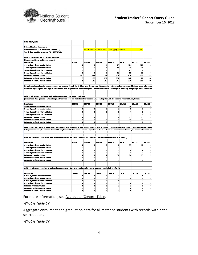

| Date: 02/20/2013                                                                                                                                                        |         |              |                                                        |                         |                         |                |              |
|-------------------------------------------------------------------------------------------------------------------------------------------------------------------------|---------|--------------|--------------------------------------------------------|-------------------------|-------------------------|----------------|--------------|
|                                                                                                                                                                         |         |              |                                                        |                         |                         |                |              |
| <b>National Student Clearinghouse</b>                                                                                                                                   |         |              |                                                        |                         |                         |                |              |
| SOME UNIVERSITY - SOME TOWN (XXXXX-XX)                                                                                                                                  |         |              | Total students found and included in aggregate report: |                         |                         | 7,061          |              |
| Search date provided in request File : 08/28/2006                                                                                                                       |         |              |                                                        |                         |                         |                |              |
|                                                                                                                                                                         |         |              |                                                        |                         |                         |                |              |
| <b>Table 1: Enrollment and Graduation Summary</b>                                                                                                                       |         |              |                                                        |                         |                         |                |              |
| (Student enrollment and degree counts)                                                                                                                                  |         |              |                                                        |                         |                         |                |              |
| Description                                                                                                                                                             | 2005-07 | 2007-08      | 2008-09                                                | 2009-10                 | 2010-11                 | 2011-12        | 2012-13      |
| 4-year degree from your institution                                                                                                                                     | o       | o            | 4                                                      | 75                      | 164                     | 120            | 23           |
| 2-year degree from your institution                                                                                                                                     | o       | 5            | 26                                                     | 43                      | 23                      | 13             | 3            |
| 4-year degree from other institution                                                                                                                                    | o       | 0            | $\mathbf{z}$                                           | 39                      | 79                      | 56             | 11           |
| 2-year degree from other institution                                                                                                                                    | o       | $\mathbf{1}$ | 5                                                      | 32                      | 19                      | 13             | Ω            |
| <b>Retained at your institution</b>                                                                                                                                     | 1537    | 964          | 708                                                    | 514                     | 304                     | 171            | 140          |
| Retained at other 4-year institution                                                                                                                                    | 5       | 151          | 218                                                    | 214                     | 147                     | 85             | 88           |
| Retained at other 2-year institution                                                                                                                                    | 5       | 151          | 162                                                    | 143                     | 124                     | 106            | 98           |
|                                                                                                                                                                         |         |              |                                                        |                         |                         |                |              |
| Note: Student enrollment and degree counts are included through the first four-year degree only. Subsequent enrollment and degrees earned by four-year graduates ar     |         |              |                                                        |                         |                         |                |              |
| Students completing two-year degrees are counted until they receive a four-year degree. Subsequent enrollment and degrees earned by two-year graduates are count        |         |              |                                                        |                         |                         |                |              |
|                                                                                                                                                                         |         |              |                                                        |                         |                         |                |              |
|                                                                                                                                                                         |         |              |                                                        |                         |                         |                |              |
| Table 2: Subsequent Enrollment and Graduation Summary for 2-Year Graduates                                                                                              |         |              |                                                        |                         |                         |                |              |
| (Counts for 2-Year graduates who subsequently enrolled or completed at another institution that participates with the National Student Clearinghouse)                   |         |              |                                                        |                         |                         |                |              |
|                                                                                                                                                                         |         |              |                                                        |                         |                         |                |              |
| Description                                                                                                                                                             | 2006-07 | 2007-08      | 2008-09                                                | 2009-10                 | 2010-11                 | 2011-12        | 2012-13      |
| 4-year degree from your institution                                                                                                                                     | o       | o            | o                                                      | $\mathbf{1}$            | 16                      | 20             | 6            |
| 2-year degree from your institution                                                                                                                                     | o       | o            | o                                                      | 0                       | o                       | o              | o            |
| 4-year degree from other institution                                                                                                                                    | o       | o            | o                                                      | 1                       | 4                       | 5              | 1            |
| 2-year degree from other institution                                                                                                                                    | 0       | 0            | 0                                                      | 0                       | 0                       | $\overline{2}$ | o            |
| Retained at your institution                                                                                                                                            | 0       | o            | 3                                                      | 11                      | 15                      | 13             | 15           |
| Retained at other 4-year institution                                                                                                                                    | 0       | o            | 1                                                      | 5                       | 10                      | 10             | 13           |
| Retained at other 2-year institution                                                                                                                                    | o       | o            | o                                                      | 0                       | 5                       | 6              | 5            |
|                                                                                                                                                                         |         |              |                                                        |                         |                         |                |              |
| IMPORTANT: Institutions including both two- and four-year graduates in their graduation rates must use Table 2 to remove two-year students who subsequently compl       |         |              |                                                        |                         |                         |                |              |
| Data generated using the National Student Clearinghouse's StudentTracker service. Depending on the cohort size and student characteristics, the counts in this table ma |         |              |                                                        |                         |                         |                |              |
|                                                                                                                                                                         |         |              |                                                        |                         |                         |                |              |
|                                                                                                                                                                         |         |              |                                                        |                         |                         |                |              |
| Table 2A: Subsequent Enrollment and Graduation Summary for 2-Year Graduates from SUBMITTING Institution only (subset of Table 2)                                        |         |              |                                                        |                         |                         |                |              |
|                                                                                                                                                                         |         |              |                                                        |                         |                         |                |              |
| Description                                                                                                                                                             | 2006-07 | 2007-08      | 2008-09                                                | 2009-10                 | 2010-11                 | 2011-12        | 2012-13      |
| 4-year degree from your institution                                                                                                                                     | o       | o            | ۰                                                      | 1                       | 13                      | 16             | 4            |
| 2-year degree from your institution                                                                                                                                     | 0       | 0            | o                                                      | o                       | o                       | 0              | o            |
| 4-year degree from other institution                                                                                                                                    | 0       | o            | o                                                      | 0                       | $\overline{\mathbf{z}}$ | $\overline{z}$ | 0            |
| 2-year degree from other institution                                                                                                                                    | 0       | o            | o                                                      | 0                       | o                       | $\overline{2}$ | o            |
| Retained at your institution                                                                                                                                            | o       | o            | $\overline{z}$                                         | 11                      | 14                      | 13             | 15           |
| Retained at other 4-year institution                                                                                                                                    | o       | o            | o                                                      | $\overline{\mathbf{z}}$ | $\overline{2}$          | $\overline{2}$ | 3            |
| Retained at other 2-year institution                                                                                                                                    | o       | 0            | o                                                      | o                       | $\mathbf{1}$            | o              | $\mathbf{1}$ |
|                                                                                                                                                                         |         |              |                                                        |                         |                         |                |              |
|                                                                                                                                                                         |         |              |                                                        |                         |                         |                |              |
| Table 2B: Subsequent Enrollment and Graduation Summary for 2-Year Graduates from OTHER Institution only (subset of Table 2)                                             |         |              |                                                        |                         |                         |                |              |
|                                                                                                                                                                         |         |              |                                                        |                         |                         |                |              |
| Description                                                                                                                                                             | 2006-07 | 2007 03      | 2003-09                                                | 2009-10                 | 2010-11                 | 2011-12        | 2012-13      |
| 4-year degree from your institution                                                                                                                                     | o       | o            | 0                                                      | o                       | з                       | 4              | 2            |
| 2-year degree from your institution                                                                                                                                     | o       | 0            | o                                                      | 0                       | o                       | o              | o            |
| 4-year degree from other institution                                                                                                                                    | o       | o            | o                                                      | 1                       | $\overline{ }$          | 3              | 1            |
| 2-year degree from other institution                                                                                                                                    | o       | o            | o                                                      | o                       | o                       | o              | o            |
| Retained at your institution                                                                                                                                            | o       | o            | 1                                                      | o                       | 1                       | o              | Ω            |
| Retained at other 4-year institution                                                                                                                                    | o       | 0            | 1                                                      | 3                       | 8                       | 8              | 10           |
| Retained at other 2-year institution                                                                                                                                    | o       | o            | 0                                                      | 0                       | 4                       | 6              | 4            |

For more information, see [Aggregate](#page-7-0) (Cohort) Table.

*What is Table 1?*

Aggregate enrollment and graduation data for all matched students with records within the search dates.

*What is Table 2?*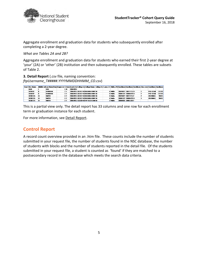

Aggregate enrollment and graduation data for students who subsequently enrolled after completing a 2-year degree.

*What are Tables 2A and 2B?*

Aggregate enrollment and graduation data for students who earned their first 2-year degree at 'your' (2A) or 'other' (2B) institution and then subsequently enrolled. These tables are subsets of Table 2.

**3. Detail Report** (.csv file, naming convention: *ftpUsername\_T#####.YYYYMMDDHHMM\_CO.csv*)

| Your LFrst Name |   |                |  |     |          | Middle Initit ast Name Nam Requester R Reco/Search Dal College Co/College Name   College St: 2-year / 4- Public / Pri Enrollmen(Enrollmen(Enrollmen) Class Leve Enrollmen   Crollmen   Crollmen |  |          |                     |                     |  |                 |        |
|-----------------|---|----------------|--|-----|----------|-------------------------------------------------------------------------------------------------------------------------------------------------------------------------------------------------|--|----------|---------------------|---------------------|--|-----------------|--------|
| <b>LACK</b>     |   | <b>DOE</b>     |  |     | 20060915 |                                                                                                                                                                                                 |  |          |                     |                     |  |                 |        |
| <b>ROBERT</b>   |   | <b>JOHNSON</b> |  |     |          | 20060915 001817-00 INDIANA UNIV IN                                                                                                                                                              |  | 4 Public |                     | 20070827 20071215 H |  | <b>PRE-FIEM</b> | 131202 |
| <b>ROBERT</b>   |   | <b>JOHNSON</b> |  |     |          | 20060915 001817-00 INDIANA UNIV IN                                                                                                                                                              |  | 4 Public |                     | 20080107 20080429 H |  | <b>PRE-ELEM</b> | 131202 |
| RERECCA         | н | <b>SMITH</b>   |  | 3 Y |          | 20060915 001817-00 INDIANA UNIV IN                                                                                                                                                              |  | 4 Public | 20070827 20071215 F |                     |  | <b>JOURNALL</b> | 90401  |
| REBECCA         |   | <b>SMITH</b>   |  | 3 Y |          | 20060915 001817-00 INDIANA UNIV IN                                                                                                                                                              |  | 4 Public |                     | 20080107 20080429 H |  | <b>JOURNALI</b> | 90401  |
| RFRFCCA         |   | <b>SMITH</b>   |  | 3 Y |          | 20060915 010109-00 IVY TECH COM IN                                                                                                                                                              |  | 2 Public |                     | 20080825 20081220 F |  |                 |        |

This is a partial view only. The detail report has 33 columns and one row for each enrollment term or graduation instance for each student.

For more information, see Detail [Report.](#page-11-0)

## <span id="page-5-0"></span>**Control Report**

A record count overview provided in an .htm file. These counts include the number of students submitted in your request file, the number of students found in the NSC database, the number of students with blocks and the number of students reported in the detail file. Of the students submitted in your request file, a student is counted as 'found' if they are matched to a postsecondary record in the database which meets the search data criteria.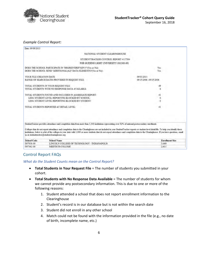

#### *Example Control Report:*

| Date: 09/09/2013         |                                                                                                                                                                                                                                                                                                                                                                                                                                                                                                                                                                                                    |                                       |  |  |  |  |
|--------------------------|----------------------------------------------------------------------------------------------------------------------------------------------------------------------------------------------------------------------------------------------------------------------------------------------------------------------------------------------------------------------------------------------------------------------------------------------------------------------------------------------------------------------------------------------------------------------------------------------------|---------------------------------------|--|--|--|--|
|                          | NATIONAL STUDENT CLEARINGHOUSE                                                                                                                                                                                                                                                                                                                                                                                                                                                                                                                                                                     |                                       |  |  |  |  |
|                          | STUDENTTRACKER CONTROL REPORT #117594                                                                                                                                                                                                                                                                                                                                                                                                                                                                                                                                                              |                                       |  |  |  |  |
|                          | FOR GUIDING LIGHT UNIVERSITY (002300-99)                                                                                                                                                                                                                                                                                                                                                                                                                                                                                                                                                           |                                       |  |  |  |  |
|                          | DOES THE SCHOOL PARTICIPATE IN "DEGREEVERIFY(DV)"?(Yes or No):<br>DOES THE SCHOOL SEND "ADDITIONAL(A2)" DATA ELEMENTS?(Yes or No):                                                                                                                                                                                                                                                                                                                                                                                                                                                                 | Yes<br>Yes                            |  |  |  |  |
| YOUR FILE CREATION DATE: | RANGE OF SEARCH DATES PROVIDED IN REQUEST FILE:                                                                                                                                                                                                                                                                                                                                                                                                                                                                                                                                                    | 09/03/2013<br>09/15/2006 - 09/15/2006 |  |  |  |  |
|                          | TOTAL STUDENTS IN YOUR REQUEST FILE:<br>TOTAL STUDENTS WITH NO RESPONSE DATA AVAILABLE:                                                                                                                                                                                                                                                                                                                                                                                                                                                                                                            | 49<br>8                               |  |  |  |  |
|                          | TOTAL STUDENTS FOUND AND INCLUDED IN AGGREGATE REPORT:<br>LESS: STUDENT LEVEL REPORTING BLOCKED BY SCHOOL:<br>LESS: STUDENT LEVEL REPORTING BLOCKED BY STUDENT:                                                                                                                                                                                                                                                                                                                                                                                                                                    | 41<br>$\alpha$                        |  |  |  |  |
|                          | TOTAL STUDENTS REPORTED AT DETAIL LEVEL:                                                                                                                                                                                                                                                                                                                                                                                                                                                                                                                                                           | 41                                    |  |  |  |  |
|                          | StudentTracker provides attendance and completion data from more than 3,300 institutions representing over 92% of national postsecondary enrollment.<br>Colleges that do not report attendance and completion data to the Clearinghouse are not included in your StudentTracker reports or student-level detail file. To help you identify these<br>institutions, below is a list of the colleges in your state with 1,000 or more students that do not report attendance and completion data to the Clearinghouse. If you have questions, email<br>us at studenttracker@studentclearinghouse.org. |                                       |  |  |  |  |
| <b>School Code</b>       | <b>School Name</b>                                                                                                                                                                                                                                                                                                                                                                                                                                                                                                                                                                                 | <b>Enrollment Size</b>                |  |  |  |  |
| 007938-00                | LINCOLN COLLEGE OF TECHNOLOGY - INDIANAPOLIS                                                                                                                                                                                                                                                                                                                                                                                                                                                                                                                                                       | 3.669                                 |  |  |  |  |
| 007362-00                | MEDTECH COLLEGE                                                                                                                                                                                                                                                                                                                                                                                                                                                                                                                                                                                    | 2.611                                 |  |  |  |  |

### <span id="page-6-0"></span>Control Report FAQs

*What do the Student Counts mean on the Control Report?*

- **Total Students in Your Request File** = The number of students you submitted in your cohort.
- **Total Students with No Response Data Available** = The number of students for whom we cannot provide any postsecondary information. This is due to one or more of the following reasons:
	- 1. Student attended a school that does not report enrollment information to the Clearinghouse
	- 2. Student's record is in our database but is not within the search date
	- 3. Student did not enroll in any other school
	- 4. Match could not be found with the information provided in the file (e.g., no date of birth, incomplete name, etc.)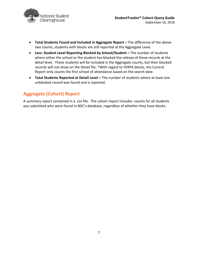

- **Total Students Found and Included in Aggregate Report** = The difference of the above two counts; students with blocks are still reported at the Aggregate Level.
- **Less: Student Level Reporting Blocked by School/Student** = The number of students where either the school or the student has blocked the release of these records at the detail level. These students will be included in the Aggregate counts, but their blocked records will not show on the Detail file. \*With regard to FERPA blocks, the Control Report only counts the first school of attendance based on the search date.
- **Total Students Reported at Detail Level** = The number of students where at least one unblocked record was found and is reported.

# <span id="page-7-0"></span>**Aggregate (Cohort) Report**

A summary report contained in a .csv file. The cohort report includes counts for all students you submitted who were found in NSC's database, regardless of whether they have blocks.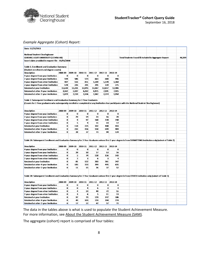

#### *Example Aggregate (Cohort) Report:*

| Date: 11/21/2013                                                                                                                                              |                     |                     |                     |                     |                         |                     |                                                      |  |  |        |
|---------------------------------------------------------------------------------------------------------------------------------------------------------------|---------------------|---------------------|---------------------|---------------------|-------------------------|---------------------|------------------------------------------------------|--|--|--------|
| <b>National Student Clearinghouse</b>                                                                                                                         |                     |                     |                     |                     |                         |                     |                                                      |  |  |        |
| GUIDING LIGHT UNIVERSITY (123456-00)                                                                                                                          |                     |                     |                     |                     |                         |                     | Total Students Found & Included In Aggregate Report: |  |  | 46,509 |
| Search date provided in request File: 01/01/2008                                                                                                              |                     |                     |                     |                     |                         |                     |                                                      |  |  |        |
|                                                                                                                                                               |                     |                     |                     |                     |                         |                     |                                                      |  |  |        |
| Table 1: Enrollment and Graduation Summary                                                                                                                    |                     |                     |                     |                     |                         |                     |                                                      |  |  |        |
| (Student enrollment and degree counts)                                                                                                                        |                     |                     |                     |                     |                         |                     |                                                      |  |  |        |
| Description                                                                                                                                                   | 2008-09             | 2009-10             | 2010-11             | 2011-12             | 2012-13                 | 2013-14             |                                                      |  |  |        |
| 4-year degree from your institution                                                                                                                           | $\bf{0}$            | $\bf{0}$            | $\bf{0}$            | $\bf{0}$            | $\bf{0}$                | $\bf{0}$            |                                                      |  |  |        |
| 2-year degree from your institution                                                                                                                           | 594                 | 586                 | 573                 | 663                 | 680                     | 496                 |                                                      |  |  |        |
| 4-year degree from other institution                                                                                                                          | 407                 | 516                 | 851                 | 1,109               | 1,578                   | 1,368               |                                                      |  |  |        |
| 2-year degree from other institution                                                                                                                          | 178                 | 226                 | 291                 | 291                 | 339                     | 275                 |                                                      |  |  |        |
| Retained at your institution                                                                                                                                  | 11,630              | 12,231              | 12,945              | 13,367              | 12,837                  | 12,406              |                                                      |  |  |        |
| Retained at other 4-year institution                                                                                                                          | 3,562               | 5,107               | 6,262               | 6,975               | 7,191                   | 7,425               |                                                      |  |  |        |
| Retained at other 2-year institution                                                                                                                          | 1,829               | 2,159               | 2,336               | 2,362               | 2,214                   | 1,958               |                                                      |  |  |        |
|                                                                                                                                                               |                     |                     |                     |                     |                         |                     |                                                      |  |  |        |
| Table 2: Subsequent Enrollment and Graduation Summary for 2-Year Graduates                                                                                    |                     |                     |                     |                     |                         |                     |                                                      |  |  |        |
| (Counts for 2-Year graduates who subsequently enrolled or completed at any institution that participates with the National Student Clearinghouse)             |                     |                     |                     |                     |                         |                     |                                                      |  |  |        |
|                                                                                                                                                               |                     |                     |                     |                     |                         |                     |                                                      |  |  |        |
|                                                                                                                                                               |                     |                     |                     |                     |                         |                     |                                                      |  |  |        |
| Description                                                                                                                                                   | 2008-09<br>$\bf{0}$ | 2009-10<br>$\bf{0}$ | 2010-11<br>$\bf{0}$ | 2011-12<br>$\bf{0}$ | 2012-13<br>$\bf{0}$     | 2013-14<br>$\bf{0}$ |                                                      |  |  |        |
| 4-year degree from your institution                                                                                                                           | $\bf{0}$            | 29                  |                     | 23                  |                         | 20                  |                                                      |  |  |        |
| 2-year degree from your institution                                                                                                                           | $\bf{0}$            | 9                   | 14<br>97            | 168                 | 16<br>228               | 198                 |                                                      |  |  |        |
| 4-year degree from other institution<br>2-year degree from other institution                                                                                  | $\bf{0}$            | 5                   | 9                   | 11                  | 14                      | 17                  |                                                      |  |  |        |
| Retained at your institution                                                                                                                                  | $\bf{0}$            | 118                 | 225                 | 332                 | 408                     | 433                 |                                                      |  |  |        |
| Retained at other 4-year institution                                                                                                                          | $\bf{0}$            | 232                 | 436                 | 558                 | 699                     | 909                 |                                                      |  |  |        |
| Retained at other 2-year institution                                                                                                                          | Ō                   | 28                  | 37                  | 73                  | 94                      | 124                 |                                                      |  |  |        |
|                                                                                                                                                               |                     |                     |                     |                     |                         |                     |                                                      |  |  |        |
|                                                                                                                                                               |                     |                     |                     |                     |                         |                     |                                                      |  |  |        |
| Table 2A: Subsequent Enrollment and Graduation Summary for 2-Year Graduates whose first 2-year degree is from SUBMITTING Institution only (subset of Table 2) |                     |                     |                     |                     |                         |                     |                                                      |  |  |        |
|                                                                                                                                                               |                     |                     |                     |                     |                         |                     |                                                      |  |  |        |
| <b>Description</b>                                                                                                                                            | 2008-09             | 2009-10             | 2010-11             | 2011-12             | 2012-13                 | 2013-14             |                                                      |  |  |        |
| 4-year degree from your institution                                                                                                                           | $\bf{0}$            | $\bf{0}$            | $\bf{0}$            | $\bf{0}$            | $\bf{0}$                | $\bf{0}$            |                                                      |  |  |        |
| 2-year degree from your institution                                                                                                                           | $\bf{0}$            | 29                  | 10                  | 17                  | 13                      | 16                  |                                                      |  |  |        |
| 4-year degree from other institution                                                                                                                          | $\bf{0}$            | 5                   | 74                  | 128                 | 156                     | 143                 |                                                      |  |  |        |
| 2-year degree from other institution                                                                                                                          | $\bf{0}$            | $\mathbf{2}$        | з                   | 6                   | $\overline{\mathbf{3}}$ | $\ddot{a}$          |                                                      |  |  |        |
| Retained at your institution                                                                                                                                  | $\bf{0}$            | 81                  | 152                 | 203                 | 261                     | 247                 |                                                      |  |  |        |
| Retained at other 4-year institution                                                                                                                          | $\bf{0}$            | 183                 | 333                 | 399                 | 495                     | 635                 |                                                      |  |  |        |
| Retained at other 2-year institution                                                                                                                          | $\bf{0}$            | 11                  | 15                  | 26                  | 37                      | 52                  |                                                      |  |  |        |
|                                                                                                                                                               |                     |                     |                     |                     |                         |                     |                                                      |  |  |        |
| Table 2B: Subsequent Enrollment and Graduation Summary for 2-Year Graduates whose first 2-year degree is from OTHER Institution only (subset of Table 2)      |                     |                     |                     |                     |                         |                     |                                                      |  |  |        |
|                                                                                                                                                               |                     |                     |                     |                     |                         |                     |                                                      |  |  |        |
| Description                                                                                                                                                   | 2008-09             | 2009-10             | 2010-11             | 2011-12             | 2012-13                 | 2013-14             |                                                      |  |  |        |
| 4-year degree from your institution                                                                                                                           | $\bf{0}$            | 0                   | $\bf{0}$            | $\bf{0}$            | 0                       | $\bf{0}$            |                                                      |  |  |        |
| 2-year degree from your institution                                                                                                                           | $\bf{0}$            | $\bf{0}$            | 4                   | 6                   | 3                       | 4                   |                                                      |  |  |        |
| 4-year degree from other institution                                                                                                                          | $\bf{0}$            | 4                   | 23                  | 40                  | 72                      | 55                  |                                                      |  |  |        |
| 2-year degree from other institution                                                                                                                          | $\bf{0}$            | з                   | 6                   | 5                   | 11                      | 13                  |                                                      |  |  |        |
| Retained at your institution                                                                                                                                  | $\bf{0}$            | 37                  | 73                  | 129                 | 147                     | 186                 |                                                      |  |  |        |
| Retained at other 4-year institution                                                                                                                          | $\bf{0}$            | 49                  | 103                 | 159                 | 204                     | 274                 |                                                      |  |  |        |
| Retained at other 2-year institution                                                                                                                          | 0                   | 17                  | 22                  | 47                  | 57                      | $\boldsymbol{\eta}$ |                                                      |  |  |        |
|                                                                                                                                                               |                     |                     |                     |                     |                         |                     |                                                      |  |  |        |

The data in the tables above is what is used to populate the Student Achievement Measure. For more information, see About the Student [Achievement](#page-13-0) Measure (SAM).

The aggregate (cohort) report is comprised of four tables: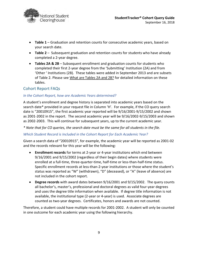

- **Table 1** Graduation and retention counts for consecutive academic years, based on your search date.
- **Table 2** Subsequent graduation and retention counts for students who have already completed a 2-year degree.
- **Tables 2A & 2B** Subsequent enrollment and graduation counts for students who completed their first 2-year degree from the 'Submitting' Institution (2A) and from 'Other ' Institutions (2B). These tables were added in September 2013 and are subsets of Table 2. Please see What are [Tables](#page-10-0) 2A and 2B? for detailed information on these tables.

#### <span id="page-9-0"></span>Cohort Report FAQs

#### *In the Cohort Report, how are Academic Years determined?*

A student's enrollment and degree history is separated into academic years based on the search date\* provided in your request file in Column 'H'. For example, if the CO query search date is "20010915", the first academic year reported will be 9/16/2001-9/15/2002 and shown as 2001-2002 in the report. The second academic year will be 9/16/2002-9/15/2003 and shown as 2002-2003. This will continue for subsequent years, up to the current academic year.

*\* Note that for CO queries, the search date must be the same for all students in the file.*

#### *Which Student Record is Included in the Cohort Report for Each Academic Year?*

Given a search data of "20010915", for example, the academic year will be reported as 2001-02 and the records relevant for this year will be the following:

- **Enrollment records** for terms at 2-year or 4-year institutions which end between 9/16/2001 and 9/15/2002 (regardless of their begin dates) where students were enrolled at a full-time, three-quarter-time, half-time or less-than-half-time status. Specific enrollment records at less-than-2-year institutions or those where the student's status was reported as "W" (withdrawn), "D" (deceased), or "A" (leave of absence) are not included in the cohort report.
- **Degree records** with award dates between 9/16/2001 and 9/15/2002. The query counts all bachelor's, master's, professional and doctoral degrees as valid four-year degrees and uses the degree title information when available. If degree title information is not available, the institutional type (2-year or 4-year) is used. Associate degrees are counted as two-year degrees. Certificates, honors and awards are not counted.

Therefore, a student could have multiple records for 2001-2002. A student will only be counted in one outcome for each academic year using the following hierarchy.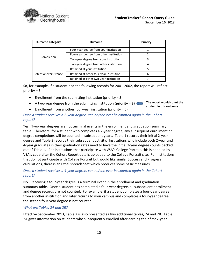

| <b>Outcome Category</b> | Outcome                                 |   |  |  |  |  |  |  |  |
|-------------------------|-----------------------------------------|---|--|--|--|--|--|--|--|
|                         | Four-year degree from your institution  |   |  |  |  |  |  |  |  |
| Completion              | Four-year degree from other institution |   |  |  |  |  |  |  |  |
|                         | Two-year degree from your institution   |   |  |  |  |  |  |  |  |
|                         | Two-year degree from other institution  | 4 |  |  |  |  |  |  |  |
|                         | Retained at your institution            |   |  |  |  |  |  |  |  |
| Retention/Persistence   | Retained at other four-year institution | 6 |  |  |  |  |  |  |  |
|                         | Retained at other two-year institution  |   |  |  |  |  |  |  |  |

So, for example, if a student had the following records for 2001-2002, the report will reflect priority = 3.

- Enrollment from the submitting institution (priority  $= 5$ )
- A two-year degree from the submitting institution **(priority = 3) The report would count the**

**student in this outcome.**

• Enrollment from another four-year institution (priority  $= 6$ )

#### *Once a student receives a 2-year degree, can he/she ever be counted again in the Cohort report?*

Yes. Two-year degrees are not terminal events in the enrollment and graduation summary table. Therefore, for a student who completes a 2-year degree, any subsequent enrollment or degree completions will be counted in subsequent years. Table 1 records their initial 2-year degree and Table 2 records their subsequent activity. Institutions who include both 2-year and 4-year graduates in their graduation rates need to have the initial 2-year degree counts backed out of Table 1. For institutions that participate with VSA's College Portrait, this is handled by VSA's code after the Cohort Report data is uploaded to the College Portrait site. For institutions that do not participate with College Portrait but would like similar Success and Progress calculations, there is an Excel spreadsheet which produces some basic measures.

#### *Once a student receives a 4-year degree, can he/she ever be counted again in the Cohort report?*

No. Receiving a four-year degree is a terminal event in the enrollment and graduation summary table. Once a student has completed a four-year degree, all subsequent enrollment and degree records are not counted. For example, if a student completes a four-year degree from another institution and later returns to your campus and completes a four-year degree, the second four-year degree is not counted.

#### <span id="page-10-0"></span>*What are Tables 2A and 2B?*

Effective September 2013, Table 2 is also presented as two additional tables, 2A and 2B. Table 2A gives information on students who subsequently enrolled after earning their first 2-year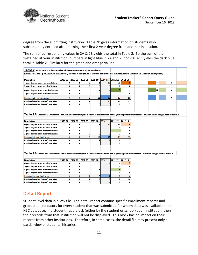

degree from the submitting institution. Table 2B gives information on students who subsequently enrolled after earning their first 2-year degree from another institution.

The sum of corresponding values in 2A & 2B yields the total in Table 2. So the sum of the 'Retained at your institution' numbers in light blue in 2A and 2B for 2010-11 yields the dark blue total in Table 2. Similarly for the green and orange values.

| <b>Table 2:</b> Subsequent Enrollment and Graduation Summary for 2-Year Graduates                                                                                     |                |                |                |                |                |                 |              |   |                      |  |
|-----------------------------------------------------------------------------------------------------------------------------------------------------------------------|----------------|----------------|----------------|----------------|----------------|-----------------|--------------|---|----------------------|--|
| (Counts for 2-Year graduates who subsequently enrolled or completed at another institution that participates with the National Student Clearinghouse)                 |                |                |                |                |                |                 |              |   |                      |  |
|                                                                                                                                                                       |                |                |                |                |                |                 |              |   |                      |  |
| Description                                                                                                                                                           | 2006-07        | 2007-08        | 2008-09        | 2009-10        | 2010-11        | 2011-12 2012-13 |              |   |                      |  |
| 4-year degree from your institution                                                                                                                                   | $\bf{0}$       | 0              | 0              | 1              | 16             | 20              | 6            | = | $\ddot{}$            |  |
| 2-year degree from your institution                                                                                                                                   | $\bf{0}$       | $\bf{0}$       | 0              | 0              | $\Omega$       | 0               | $\bf{0}$     |   |                      |  |
| 4-year degree from other institution                                                                                                                                  | 0              | $\bf{0}$       | $\bf{0}$       | 1              | 4              | 5               | 1            | Ξ | $\ddot{\phantom{1}}$ |  |
| 2-year degree from other institution                                                                                                                                  | $\bf{0}$       | $\bf{0}$       | $\bf{0}$       | $\bf{0}$       | $\mathbf{0}$   | $\overline{2}$  | $\bf{0}$     |   |                      |  |
| <b>Retained at your institution</b>                                                                                                                                   | $\mathbf{0}$   | $\bf{0}$       | 3              | 11             | 15             | 13              | 15           | = | $\ddot{\phantom{1}}$ |  |
| Retained at other 4-year institution                                                                                                                                  | $\bf{0}$       | $\bf{0}$       | $\mathbf{1}$   | 5              | 10             | 10              | 13           |   |                      |  |
| Retained at other 2-year institution                                                                                                                                  | $\bf{0}$       | $\bf{0}$       | $\bf{0}$       | 0              | 5              | 6               | 5            |   |                      |  |
|                                                                                                                                                                       |                |                |                |                |                |                 |              |   |                      |  |
|                                                                                                                                                                       |                |                |                |                |                |                 |              |   |                      |  |
| <b>Table 2A</b> : Subsequent Enrollment and Graduation Summary for 2-Year Graduates whose first 2-year degree is from SUBMITTING institution only (subset of Table 2) |                |                |                |                |                |                 |              |   |                      |  |
|                                                                                                                                                                       |                |                |                |                |                |                 |              |   |                      |  |
| Description                                                                                                                                                           | 2006-07        | 2007-08        | 2008-09        | 2009-10        | 2010-11        | 2011-12 2012-13 |              |   |                      |  |
| 4-year degree from your institution                                                                                                                                   | $\bf{0}$       | $\bf{0}$       | $\bf{0}$       | 1              | 13             | 16              |              |   |                      |  |
| 2-year degree from your institution                                                                                                                                   | $\bf{0}$       | 0              | $\bf{0}$       | 0              | $\Omega$       | $\bf{0}$        | 0            |   |                      |  |
| 4-year degree from other institution                                                                                                                                  | $\bf{0}$       | $\bf{0}$       | $\bf{0}$       | $\bf{0}$       |                | $\overline{2}$  | $\bf{0}$     |   |                      |  |
| 2-year degree from other institution                                                                                                                                  | $\bf{0}$       | $\bf{0}$       | $\bf{0}$       | $\bf{0}$       | $\mathbf{0}$   | $\mathbf{z}$    | $\bf{0}$     |   |                      |  |
| Retained at your institution                                                                                                                                          | $\overline{0}$ | $\overline{0}$ | $\overline{2}$ | 11             | 14             | 13              | 15           |   |                      |  |
| Retained at other 4-year institution                                                                                                                                  | $\bf{0}$       | $\bf{0}$       | $\bf{0}$       | $\overline{2}$ | $\overline{2}$ | $\overline{2}$  | 3            |   |                      |  |
| Retained at other 2-year institution                                                                                                                                  | $\bf{0}$       | $\bf{0}$       | $\bf o$        | 0              |                | $\bf{0}$        | 1            |   |                      |  |
|                                                                                                                                                                       |                |                |                |                |                |                 |              |   |                      |  |
| <b>Table 2B</b> : Subsequent Enrollment and Graduation Summary for 2-Year Graduates whose first 2-year degree is from OTHER Institution only (subset of Table 2)      |                |                |                |                |                |                 |              |   |                      |  |
|                                                                                                                                                                       |                |                |                |                |                |                 |              |   |                      |  |
| Description                                                                                                                                                           | 2006-07        | 2007-08        | 2008-09        | 2009-10        | 2010-11        | 2011-12 2012-13 |              |   |                      |  |
| 4-year degree from your institution                                                                                                                                   | $\bf{0}$       | 0              | 0              | 0              | з              | 4               |              |   |                      |  |
| 2-year degree from your institution                                                                                                                                   | $\bf{0}$       | $\bf{0}$       | $\bf{0}$       | $\bf{0}$       | 0              | 0               | $\bf{0}$     |   |                      |  |
| 4-year degree from other institution                                                                                                                                  | $\bf{0}$       | $\bf{0}$       | 0              | 1              | 2              | 3               | 1            |   |                      |  |
| 2-year degree from other institution                                                                                                                                  | $\bf{0}$       | $\bf{0}$       | $\bf{0}$       | ol             | $\Omega$       | $\bf{0}$        | $\bf{0}$     |   |                      |  |
| <b>Retained at your institution</b>                                                                                                                                   | $\bf{0}$       | $\bf{0}$       | $\mathbf{1}$   | $\bf{0}$       | 1              | 0               | $\mathbf{0}$ |   |                      |  |
| Retained at other 4-year institution                                                                                                                                  | $\bf{0}$       | $\bf{0}$       | $\mathbf{1}$   | з              | 8              | 8               | 10           |   |                      |  |
| Retained at other 2-year institution                                                                                                                                  | $\bf{0}$       | $\bf{0}$       | $\bf{0}$       | 0              |                | 6               | 4            |   |                      |  |

## <span id="page-11-0"></span>**Detail Report**

Student level data in a .csv file. The detail report contains specific enrollment records and graduation indicators for every student that was submitted for whom data was available in the NSC database. If a student has a block (either by the student or school) at an institution, then their records from that institution will not be displayed. This block has no impact on their records from other institutions. Therefore, in some cases, the detail file may present only a partial view of students' histories.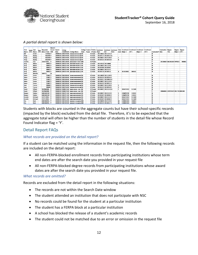

#### *A partial detail report is shown below:*

|               |                    |               |                                      | Record   |              |         |                                               |  |                            |                               |      |               |     |                    |                  |         |                                                                                                              |                 |                          |                                     |               |        |
|---------------|--------------------|---------------|--------------------------------------|----------|--------------|---------|-----------------------------------------------|--|----------------------------|-------------------------------|------|---------------|-----|--------------------|------------------|---------|--------------------------------------------------------------------------------------------------------------|-----------------|--------------------------|-------------------------------------|---------------|--------|
| First         | <b>Middle</b> Last |               | <b>Requester</b>                     |          | Found Search | College |                                               |  |                            |                               |      |               |     |                    |                  |         | College 2-year / Public / Enrollment Enrollment Enrollment Class Enrollment Enrollment Enrollment Enrollment |                 | <b>Graduation Degree</b> |                                     | Degree Degree |        |
| <b>Name</b>   |                    |               | Initial Name Suffix Return Field Y/N |          | Date         |         | Code/Branch College Name                      |  | State 4-year Private Begin |                               | End. | <b>Status</b> |     | Level Maior 1      | CIP <sub>1</sub> | Major 2 | CP <sub>2</sub>                                                                                              | Graduated? Date |                          | Title                               | Major 1 CIP 1 |        |
| <b>Bill</b>   |                    | Smith         | 123456 Y                             |          |              |         | 20040101 003754-00 VIRGINIA POLYTECH AND VA   |  | 4 Public                   | 20110822 20111215 F           |      |               |     |                    |                  |         |                                                                                                              |                 |                          |                                     |               |        |
| <b>Priva</b>  |                    | Reddy         | 456789 Y                             |          |              |         | 20040101 003754-00 VIRGINIA POLYTECH AND VA   |  | 4 Public                   | 20120117 20120512 Q           |      |               |     |                    |                  |         |                                                                                                              |                 |                          |                                     |               |        |
| Priya         |                    | Reddy         | 456789 Y                             |          |              |         | 20040101 003754-00 VIRGINIA POLYTECH AND VA   |  | 4 Public                   | 20120827 20121220 F           |      |               |     |                    |                  |         |                                                                                                              |                 |                          |                                     |               |        |
| Priya         |                    | Reddy         | 456789 Y                             |          |              |         | 20040101 003754-00 VIRGINIA POLYTECH AND VA   |  | 4 Public                   | 20130122 20130518 F           |      |               | R   |                    |                  |         |                                                                                                              |                 |                          |                                     |               |        |
| Fredrik       |                    | <b>Erlo</b>   | 254771852 Y                          |          |              |         | 20040101 002178-00 MASSACHUSETTS INSTIT MA    |  | 4 Private                  |                               |      |               |     |                    |                  |         |                                                                                                              |                 |                          | 20130607 BACHELOR (PHYSICS)         |               | 400801 |
| Amy           |                    | <b>White</b>  | 78963 Y                              |          |              |         | 20040101 003727-00 MORTHERN VIRGINIA OF VA    |  | 2 Public                   | 20110516 20110808             |      |               |     |                    |                  |         |                                                                                                              |                 |                          |                                     |               |        |
| Amy           |                    | White         | 78963 Y                              |          |              |         | 20040101 003727-00    MORTHERN VIRGINLA OF VA |  | 2 Public                   | 20110822 20111219             |      |               |     |                    |                  |         |                                                                                                              |                 |                          |                                     |               |        |
| Amy           |                    | White         | 78963 Y                              |          |              |         | 20040101 003727-00 NORTHERN VIRGINIA OC VA    |  | 2 Public                   | 20120109 20120507             |      |               |     |                    |                  |         |                                                                                                              |                 |                          |                                     |               |        |
| <b>Amy</b>    |                    | White         | 78963 Y                              |          |              |         | 20040101 003727-00 MORTHERN VIRGINIA OF VA    |  | 2 Public                   | 20120822 20121217             |      |               |     |                    |                  |         |                                                                                                              |                 |                          |                                     |               |        |
| Amy           |                    | White         | 78963 Y                              |          |              |         | 20040101 003727-00 NORTHERN VIRGINIA COVA     |  | 2 Public                   | 20130114 20130513             |      |               |     | <b>AS-SCIENCE</b>  | 300101           |         |                                                                                                              |                 |                          |                                     |               |        |
| <b>Faris</b>  |                    | Mueller       | 569712                               | <b>N</b> |              |         |                                               |  |                            |                               |      |               |     |                    |                  |         |                                                                                                              |                 |                          |                                     |               |        |
| Jason         |                    | Fones         | 15987 Y                              |          |              |         | 20040101 003749-00 GEORGE MASON UNIVELVA      |  | 4 Public                   | 20110829 20111220 F           |      |               |     |                    |                  |         |                                                                                                              |                 |                          |                                     |               |        |
| Jason         |                    | Fones         | 15987 Y                              |          |              |         | 20040101 003749-00 GEORGE MASON UNIVELVA      |  | 4 Public                   | 20120123 20120516 F           |      |               |     |                    |                  |         |                                                                                                              |                 |                          |                                     |               |        |
| Jason         |                    | Fones         | 15987 Y                              |          |              |         | 20040101 003749-00 croscr MASON UNIVELVA      |  | 4 Public                   | 20120521 20120810 H           |      |               |     |                    |                  |         |                                                                                                              |                 |                          |                                     |               |        |
| Jason         |                    | Fones         | 15987 Y                              |          |              |         | 20040101 003749-00 GEORGE MASON UNIVELYA      |  | 4 Public                   | 20120827 20121219 F           |      |               |     |                    |                  |         |                                                                                                              |                 |                          |                                     |               |        |
| Jason         |                    | Fones         | 15987 Y                              |          |              |         | 20040101 003749-00 GEORGE MASON UNIVELVA      |  | 4 Public                   | 20130122 20130515 F           |      |               |     |                    |                  |         |                                                                                                              |                 |                          |                                     |               |        |
| Jose          |                    | <b>Torres</b> | 78900 Y                              |          |              |         | 20040101 003754-00 VIRGINIA POLYTECH AND VA   |  | 4 Public                   | 20120827 20121220 F           |      |               | ls. |                    |                  |         |                                                                                                              |                 |                          |                                     |               |        |
| <b>Jose</b>   |                    | <b>Torres</b> | 78900 Y                              |          |              |         | 20040101 003754-00 VIRGINIA POLYTECH AND VA   |  | 4 Public                   | 20130122 20130518 F           |      |               | ıs  |                    |                  |         |                                                                                                              |                 |                          |                                     |               |        |
| Sarah         |                    | Olibah        | 367960288 Y                          |          |              |         | 20040101 004673-00 BAKER COLLEGE - FUNT MI    |  |                            | 4 Private 20120827 20121214 O |      |               |     | <b>HEALTH SCIL</b> | 511504           |         |                                                                                                              |                 |                          |                                     |               |        |
| Sarah         |                    | Olibah        | 367960288 Y                          |          |              |         | 20040101 004673-00 BAKER COURSE - FUNT MI     |  | 4 Private                  |                               |      |               |     |                    |                  |         |                                                                                                              |                 |                          | 20060601 CERTIFICATI EKG TECHNICIAN |               |        |
| Rowan         |                    | Valdez        | A0010A55D Y                          |          |              |         | 20040101 003721-00 JAMES MADISON UNIVE VA     |  | 4 Public                   | 20120827 20121214 F           |      |               |     | <b>COMPUTER</b>    | 110101           |         |                                                                                                              |                 |                          |                                     |               |        |
| Rowan         |                    | Valdez        | A0010A55D Y                          |          |              |         | 20040101 003721-00 MMES MADISON UNIVE VA      |  | 4 Public                   | 20130107 20130503 F           |      |               |     | <b>COMPUTER</b>    | 110101           |         |                                                                                                              |                 |                          |                                     |               |        |
| <b>Amelia</b> |                    | Airheart      | 227717852 Y                          |          |              |         | 20040101 003721-00 MMES MADISON UNIVE VA      |  | 4 Public                   | 20120827 20121214 F           |      |               |     | <b>HEALTH SCI</b>  | 511504           |         |                                                                                                              |                 |                          |                                     |               |        |
| Amelia        |                    | Airheart      | 227717852 Y                          |          |              |         | 20040101 003721-00 MM S MADISON UNIVE VA      |  | 4 Public                   | 20130107 20130503 F           |      |               |     | <b>HEALTH SCI</b>  | 511504           |         |                                                                                                              |                 |                          |                                     |               |        |
| <b>Stu</b>    |                    | Dent          | A00108703 Y                          |          |              |         | 20040101 002103-00 UNIVERSITY OF MARYLA MD    |  | 4 Public                   | 20120829 20121219 F           |      |               |     | <b>CURRICULUI</b>  | 130301           |         |                                                                                                              |                 |                          |                                     |               |        |
| <b>Stu</b>    |                    | Dent          | A00108703 Y                          |          |              |         | 20040101 002103-00 UNIVERSITY OF MARYLA MD    |  | 4 Public                   | 20130123 20130517 F           |      |               | м   | <b>CURRICULUI</b>  | 130301           |         |                                                                                                              |                 |                          |                                     |               |        |

Students with blocks are counted in the aggregate counts but have their school-specific records (impacted by the block) excluded from the detail file. Therefore, it's to be expected that the aggregate total will often be higher than the number of students in the detail file whose Record Found Indicator flag = 'Y'.

#### <span id="page-12-0"></span>Detail Report FAQs

#### *What records are provided on the detail report?*

If a student can be matched using the information in the request file, then the following records are included on the detail report:

- All non-FERPA-blocked enrollment records from participating institutions whose term end dates are after the search date you provided in your request file
- All non-FERPA-blocked degree records from participating institutions whose award dates are after the search date you provided in your request file.

#### *What records are omitted?*

Records are excluded from the detail report in the following situations:

- The records are not within the Search Date window
- The student attended an institution that does not participate with NSC
- No records could be found for the student at a particular institution
- The student has a FERPA block at a particular institution
- A school has blocked the release of a student's academic records
- The student could not be matched due to an error or omission in the request file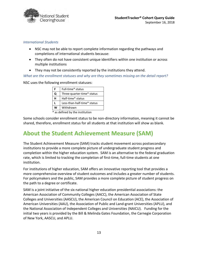

#### *International Students*

- NSC may not be able to report complete information regarding the pathways and completions of international students because:
- They often do not have consistent unique identifiers within one institution or across multiple institutions
- They may not be consistently reported by the institutions they attend.

*What are the enrollment statuses and why are they sometimes missing on the detail report?*

NSC uses the following enrollment statuses:

| F                      | Full-time* status           |  |  |  |  |  |  |
|------------------------|-----------------------------|--|--|--|--|--|--|
| O                      | Three-quarter-time* status  |  |  |  |  |  |  |
| н<br>Half-time* status |                             |  |  |  |  |  |  |
|                        | Less-than-half-time* status |  |  |  |  |  |  |
| W                      | Withdrawn                   |  |  |  |  |  |  |

\* as defined by the institution

Some schools consider enrollment status to be non-directory information, meaning it cannot be shared, therefore, enrollment status for all students at that institution will show as blank.

# <span id="page-13-0"></span>**About the Student Achievement Measure (SAM)**

The Student Achievement Measure (SAM) tracks student movement across postsecondary institutions to provide a more complete picture of undergraduate student progress and completion within the higher education system. SAM is an alternative to the federal graduation rate, which is limited to tracking the completion of first-time, full-time students at one institution.

For institutions of higher education, SAM offers an innovative reporting tool that provides a more comprehensive overview of student outcomes and includes a greater number of students. For policymakers and the public, SAM provides a more complete picture of student progress on the path to a degree or certificate.

SAM is a joint initiative of the six national higher education presidential associations: the American Association of Community Colleges (AACC), the American Association of State Colleges and Universities (AASCU), the American Council on Education (ACE), the Association of American Universities (AAU), the Association of Public and Land-grant Universities (APLU), and the National Association of Independent Colleges and Universities (NAICU). Funding for the initial two years is provided by the Bill & Melinda Gates Foundation, the Carnegie Corporation of New York, AASCU, and APLU.